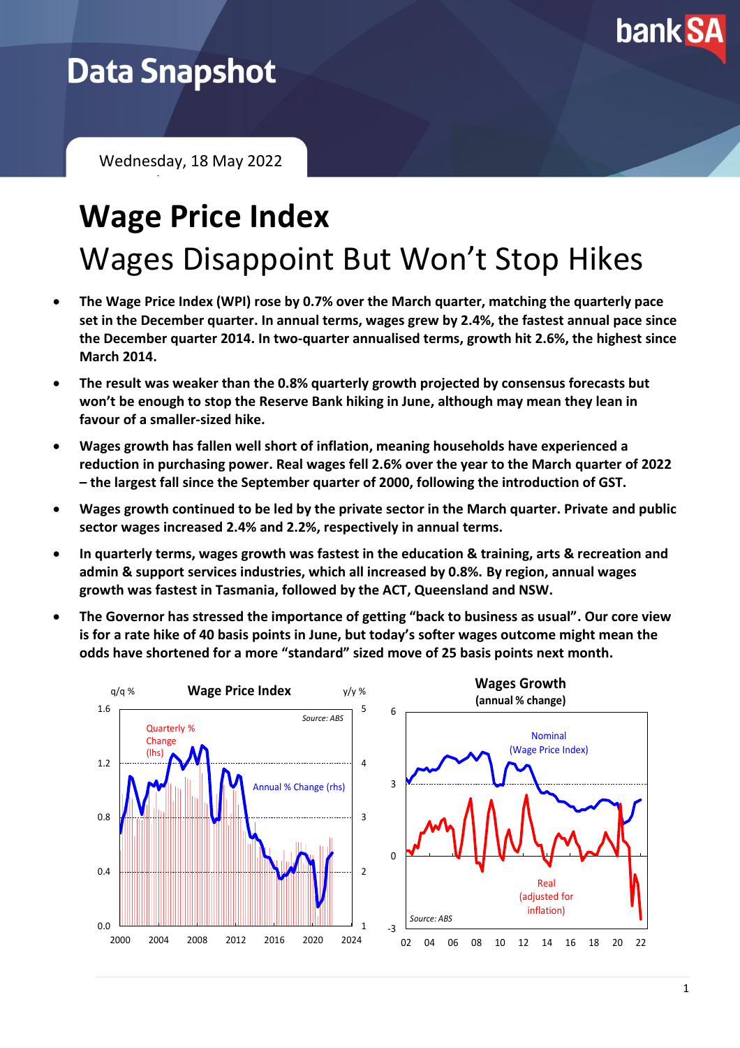

## **Data Snapshot**

Wednesday, 18 May 2022 February 2021

# **Wage Price Index** Wages Disappoint But Won't Stop Hikes

- **The Wage Price Index (WPI) rose by 0.7% over the March quarter, matching the quarterly pace set in the December quarter. In annual terms, wages grew by 2.4%, the fastest annual pace since the December quarter 2014. In two-quarter annualised terms, growth hit 2.6%, the highest since March 2014.**
- **The result was weaker than the 0.8% quarterly growth projected by consensus forecasts but won't be enough to stop the Reserve Bank hiking in June, although may mean they lean in favour of a smaller-sized hike.**
- **Wages growth has fallen well short of inflation, meaning households have experienced a reduction in purchasing power. Real wages fell 2.6% over the year to the March quarter of 2022 – the largest fall since the September quarter of 2000, following the introduction of GST.**
- **Wages growth continued to be led by the private sector in the March quarter. Private and public sector wages increased 2.4% and 2.2%, respectively in annual terms.**
- **In quarterly terms, wages growth was fastest in the education & training, arts & recreation and admin & support services industries, which all increased by 0.8%. By region, annual wages growth was fastest in Tasmania, followed by the ACT, Queensland and NSW.**
- **The Governor has stressed the importance of getting "back to business as usual". Our core view is for a rate hike of 40 basis points in June, but today's softer wages outcome might mean the odds have shortened for a more "standard" sized move of 25 basis points next month.**

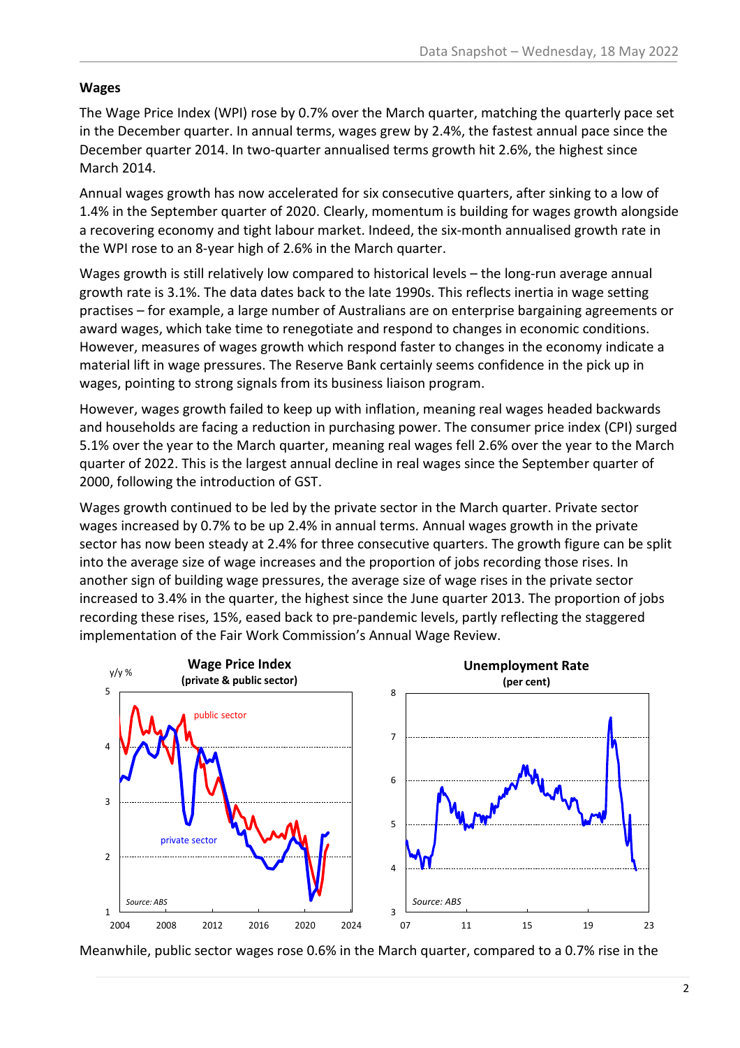#### **Wages**

The Wage Price Index (WPI) rose by 0.7% over the March quarter, matching the quarterly pace set in the December quarter. In annual terms, wages grew by 2.4%, the fastest annual pace since the December quarter 2014. In two-quarter annualised terms growth hit 2.6%, the highest since March 2014.

Annual wages growth has now accelerated for six consecutive quarters, after sinking to a low of 1.4% in the September quarter of 2020. Clearly, momentum is building for wages growth alongside a recovering economy and tight labour market. Indeed, the six-month annualised growth rate in the WPI rose to an 8-year high of 2.6% in the March quarter.

Wages growth is still relatively low compared to historical levels – the long-run average annual growth rate is 3.1%. The data dates back to the late 1990s. This reflects inertia in wage setting practises – for example, a large number of Australians are on enterprise bargaining agreements or award wages, which take time to renegotiate and respond to changes in economic conditions. However, measures of wages growth which respond faster to changes in the economy indicate a material lift in wage pressures. The Reserve Bank certainly seems confidence in the pick up in wages, pointing to strong signals from its business liaison program.

However, wages growth failed to keep up with inflation, meaning real wages headed backwards and households are facing a reduction in purchasing power. The consumer price index (CPI) surged 5.1% over the year to the March quarter, meaning real wages fell 2.6% over the year to the March quarter of 2022. This is the largest annual decline in real wages since the September quarter of 2000, following the introduction of GST.

Wages growth continued to be led by the private sector in the March quarter. Private sector wages increased by 0.7% to be up 2.4% in annual terms. Annual wages growth in the private sector has now been steady at 2.4% for three consecutive quarters. The growth figure can be split into the average size of wage increases and the proportion of jobs recording those rises. In another sign of building wage pressures, the average size of wage rises in the private sector increased to 3.4% in the quarter, the highest since the June quarter 2013. The proportion of jobs recording these rises, 15%, eased back to pre-pandemic levels, partly reflecting the staggered implementation of the Fair Work Commission's Annual Wage Review.



Meanwhile, public sector wages rose 0.6% in the March quarter, compared to a 0.7% rise in the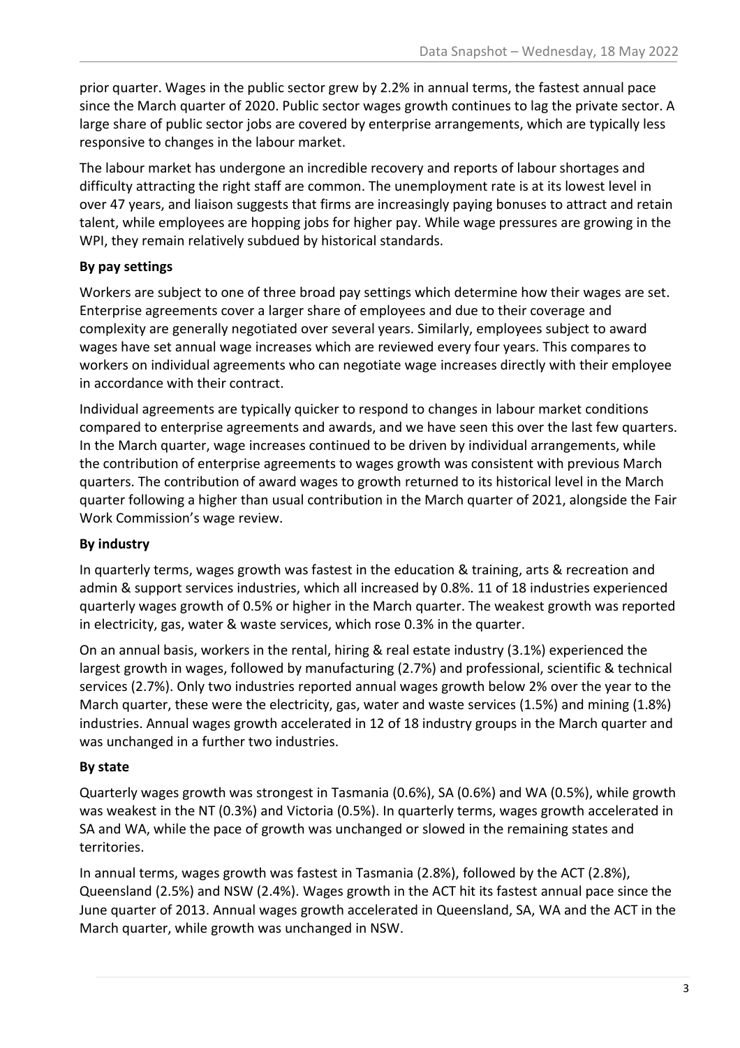prior quarter. Wages in the public sector grew by 2.2% in annual terms, the fastest annual pace since the March quarter of 2020. Public sector wages growth continues to lag the private sector. A large share of public sector jobs are covered by enterprise arrangements, which are typically less responsive to changes in the labour market.

The labour market has undergone an incredible recovery and reports of labour shortages and difficulty attracting the right staff are common. The unemployment rate is at its lowest level in over 47 years, and liaison suggests that firms are increasingly paying bonuses to attract and retain talent, while employees are hopping jobs for higher pay. While wage pressures are growing in the WPI, they remain relatively subdued by historical standards.

#### **By pay settings**

Workers are subject to one of three broad pay settings which determine how their wages are set. Enterprise agreements cover a larger share of employees and due to their coverage and complexity are generally negotiated over several years. Similarly, employees subject to award wages have set annual wage increases which are reviewed every four years. This compares to workers on individual agreements who can negotiate wage increases directly with their employee in accordance with their contract.

Individual agreements are typically quicker to respond to changes in labour market conditions compared to enterprise agreements and awards, and we have seen this over the last few quarters. In the March quarter, wage increases continued to be driven by individual arrangements, while the contribution of enterprise agreements to wages growth was consistent with previous March quarters. The contribution of award wages to growth returned to its historical level in the March quarter following a higher than usual contribution in the March quarter of 2021, alongside the Fair Work Commission's wage review.

### **By industry**

In quarterly terms, wages growth was fastest in the education & training, arts & recreation and admin & support services industries, which all increased by 0.8%. 11 of 18 industries experienced quarterly wages growth of 0.5% or higher in the March quarter. The weakest growth was reported in electricity, gas, water & waste services, which rose 0.3% in the quarter.

On an annual basis, workers in the rental, hiring & real estate industry (3.1%) experienced the largest growth in wages, followed by manufacturing (2.7%) and professional, scientific & technical services (2.7%). Only two industries reported annual wages growth below 2% over the year to the March quarter, these were the electricity, gas, water and waste services (1.5%) and mining (1.8%) industries. Annual wages growth accelerated in 12 of 18 industry groups in the March quarter and was unchanged in a further two industries.

### **By state**

Quarterly wages growth was strongest in Tasmania (0.6%), SA (0.6%) and WA (0.5%), while growth was weakest in the NT (0.3%) and Victoria (0.5%). In quarterly terms, wages growth accelerated in SA and WA, while the pace of growth was unchanged or slowed in the remaining states and territories.

In annual terms, wages growth was fastest in Tasmania (2.8%), followed by the ACT (2.8%), Queensland (2.5%) and NSW (2.4%). Wages growth in the ACT hit its fastest annual pace since the June quarter of 2013. Annual wages growth accelerated in Queensland, SA, WA and the ACT in the March quarter, while growth was unchanged in NSW.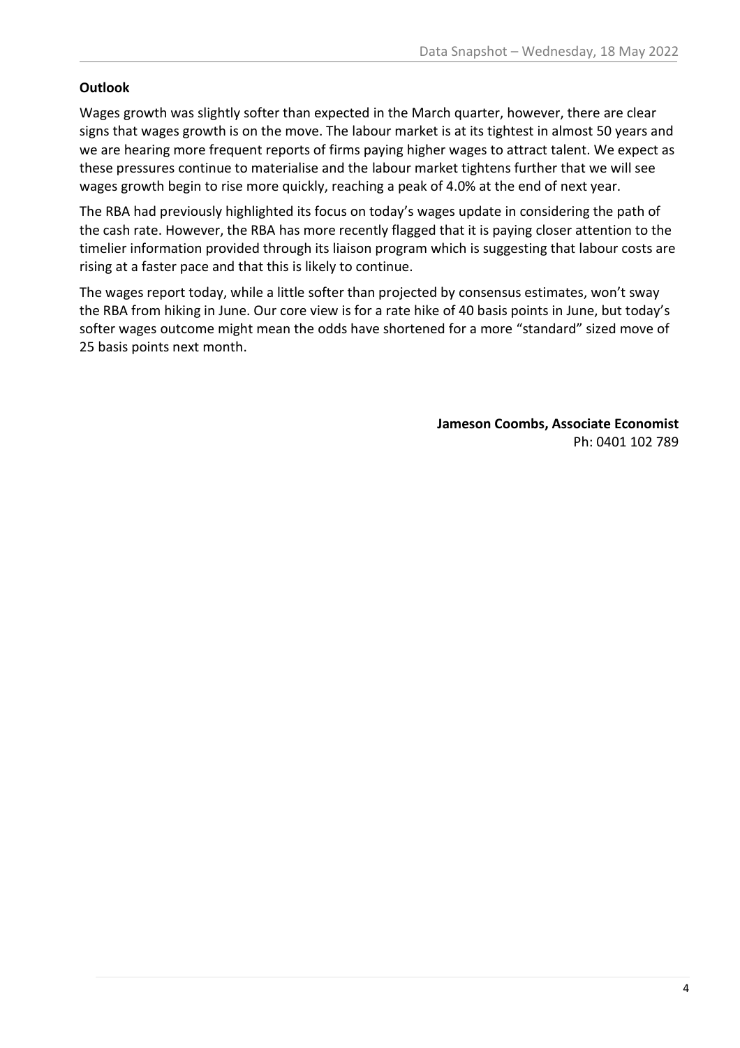#### **Outlook**

Wages growth was slightly softer than expected in the March quarter, however, there are clear signs that wages growth is on the move. The labour market is at its tightest in almost 50 years and we are hearing more frequent reports of firms paying higher wages to attract talent. We expect as these pressures continue to materialise and the labour market tightens further that we will see wages growth begin to rise more quickly, reaching a peak of 4.0% at the end of next year.

The RBA had previously highlighted its focus on today's wages update in considering the path of the cash rate. However, the RBA has more recently flagged that it is paying closer attention to the timelier information provided through its liaison program which is suggesting that labour costs are rising at a faster pace and that this is likely to continue.

The wages report today, while a little softer than projected by consensus estimates, won't sway the RBA from hiking in June. Our core view is for a rate hike of 40 basis points in June, but today's softer wages outcome might mean the odds have shortened for a more "standard" sized move of 25 basis points next month.

> **Jameson Coombs, Associate Economist** Ph: 0401 102 789